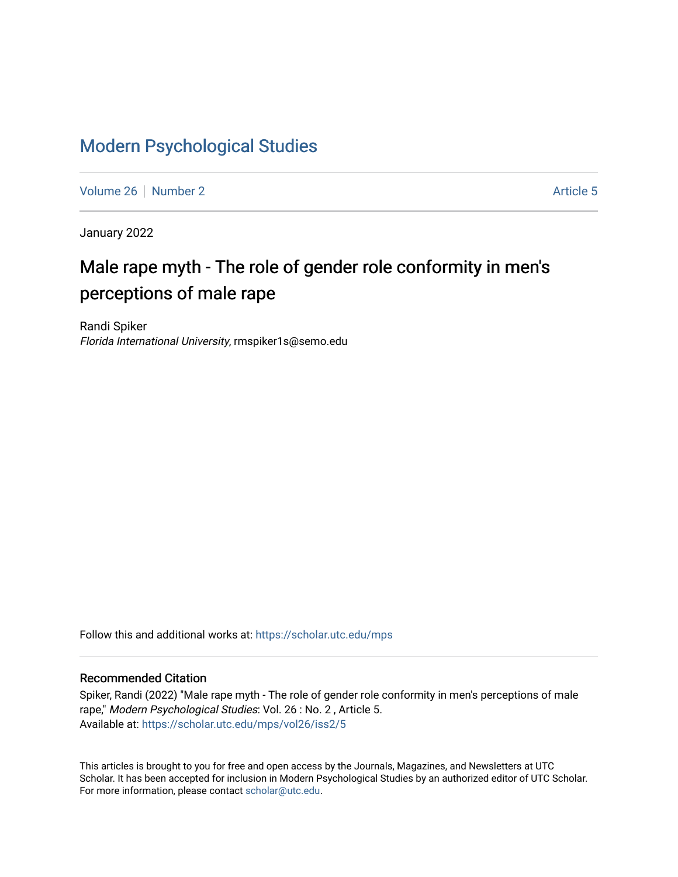## [Modern Psychological Studies](https://scholar.utc.edu/mps)

[Volume 26](https://scholar.utc.edu/mps/vol26) [Number 2](https://scholar.utc.edu/mps/vol26/iss2) Article 5

January 2022

# Male rape myth - The role of gender role conformity in men's perceptions of male rape

Randi Spiker Florida International University, rmspiker1s@semo.edu

Follow this and additional works at: [https://scholar.utc.edu/mps](https://scholar.utc.edu/mps?utm_source=scholar.utc.edu%2Fmps%2Fvol26%2Fiss2%2F5&utm_medium=PDF&utm_campaign=PDFCoverPages) 

#### Recommended Citation

Spiker, Randi (2022) "Male rape myth - The role of gender role conformity in men's perceptions of male rape," Modern Psychological Studies: Vol. 26 : No. 2 , Article 5. Available at: [https://scholar.utc.edu/mps/vol26/iss2/5](https://scholar.utc.edu/mps/vol26/iss2/5?utm_source=scholar.utc.edu%2Fmps%2Fvol26%2Fiss2%2F5&utm_medium=PDF&utm_campaign=PDFCoverPages) 

This articles is brought to you for free and open access by the Journals, Magazines, and Newsletters at UTC Scholar. It has been accepted for inclusion in Modern Psychological Studies by an authorized editor of UTC Scholar. For more information, please contact [scholar@utc.edu](mailto:scholar@utc.edu).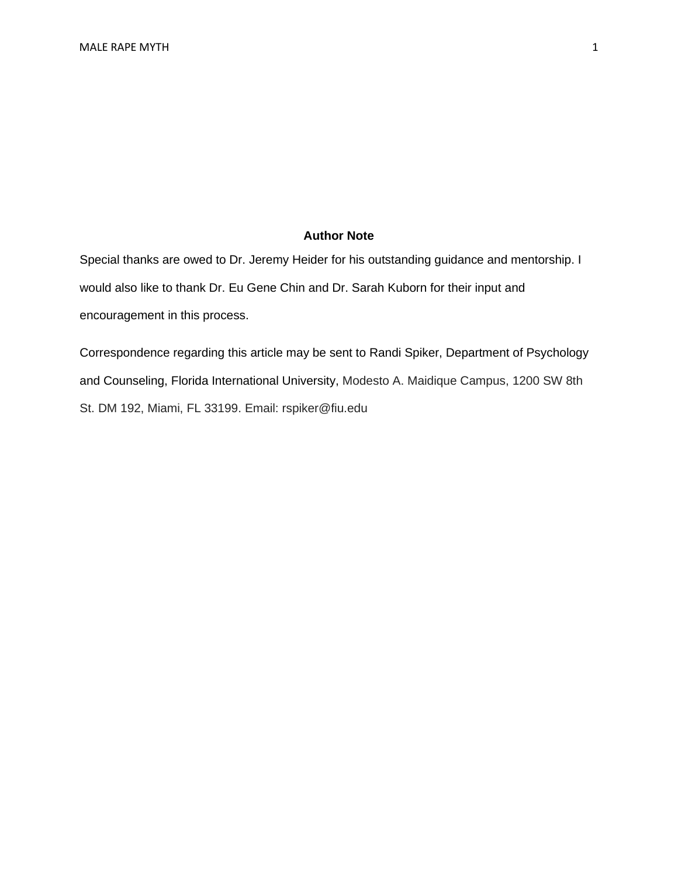#### **Author Note**

Special thanks are owed to Dr. Jeremy Heider for his outstanding guidance and mentorship. I would also like to thank Dr. Eu Gene Chin and Dr. Sarah Kuborn for their input and encouragement in this process.

Correspondence regarding this article may be sent to Randi Spiker, Department of Psychology and Counseling, Florida International University, Modesto A. Maidique Campus, 1200 SW 8th St. DM 192, Miami, FL 33199. Email: rspiker@fiu.edu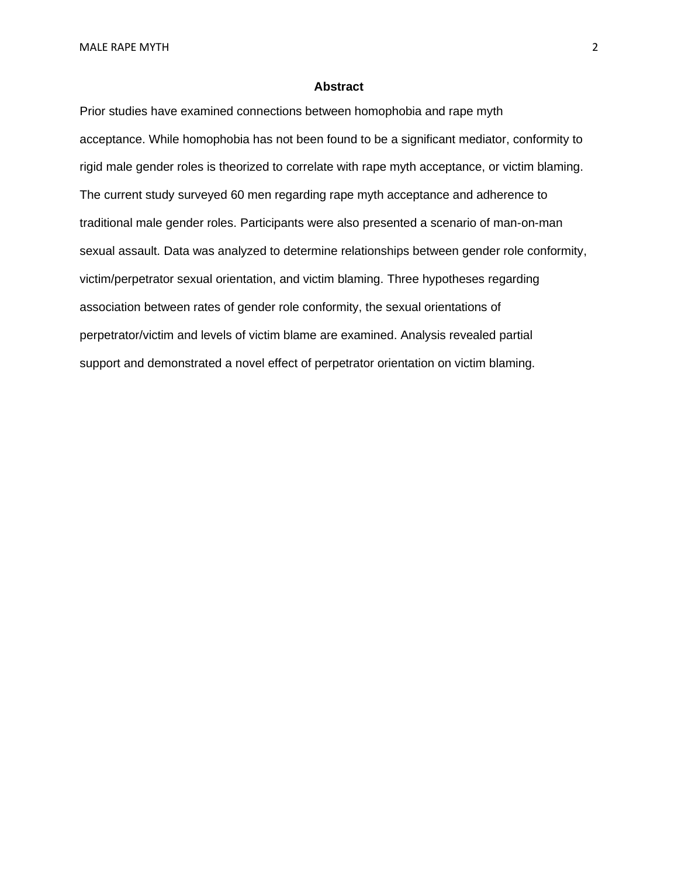#### **Abstract**

Prior studies have examined connections between homophobia and rape myth acceptance. While homophobia has not been found to be a significant mediator, conformity to rigid male gender roles is theorized to correlate with rape myth acceptance, or victim blaming. The current study surveyed 60 men regarding rape myth acceptance and adherence to traditional male gender roles. Participants were also presented a scenario of man-on-man sexual assault. Data was analyzed to determine relationships between gender role conformity, victim/perpetrator sexual orientation, and victim blaming. Three hypotheses regarding association between rates of gender role conformity, the sexual orientations of perpetrator/victim and levels of victim blame are examined. Analysis revealed partial support and demonstrated a novel effect of perpetrator orientation on victim blaming.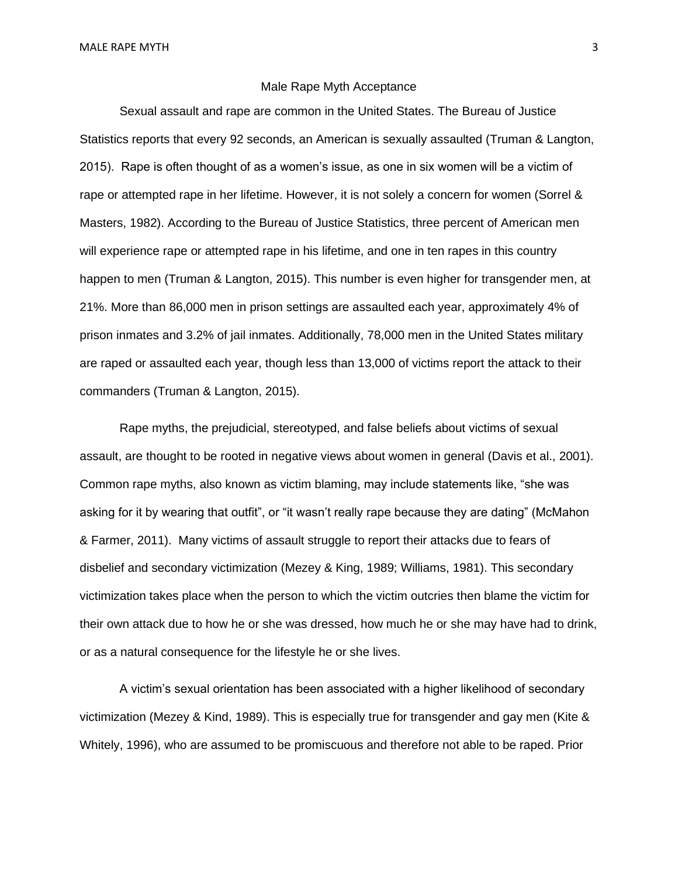#### Male Rape Myth Acceptance

Sexual assault and rape are common in the United States. The Bureau of Justice Statistics reports that every 92 seconds, an American is sexually assaulted (Truman & Langton, 2015). Rape is often thought of as a women's issue, as one in six women will be a victim of rape or attempted rape in her lifetime. However, it is not solely a concern for women (Sorrel & Masters, 1982). According to the Bureau of Justice Statistics, three percent of American men will experience rape or attempted rape in his lifetime, and one in ten rapes in this country happen to men (Truman & Langton, 2015). This number is even higher for transgender men, at 21%. More than 86,000 men in prison settings are assaulted each year, approximately 4% of prison inmates and 3.2% of jail inmates. Additionally, 78,000 men in the United States military are raped or assaulted each year, though less than 13,000 of victims report the attack to their commanders (Truman & Langton, 2015).

Rape myths, the prejudicial, stereotyped, and false beliefs about victims of sexual assault, are thought to be rooted in negative views about women in general (Davis et al., 2001). Common rape myths, also known as victim blaming, may include statements like, "she was asking for it by wearing that outfit", or "it wasn't really rape because they are dating" (McMahon & Farmer, 2011). Many victims of assault struggle to report their attacks due to fears of disbelief and secondary victimization (Mezey & King, 1989; Williams, 1981). This secondary victimization takes place when the person to which the victim outcries then blame the victim for their own attack due to how he or she was dressed, how much he or she may have had to drink, or as a natural consequence for the lifestyle he or she lives.

A victim's sexual orientation has been associated with a higher likelihood of secondary victimization (Mezey & Kind, 1989). This is especially true for transgender and gay men (Kite & Whitely, 1996), who are assumed to be promiscuous and therefore not able to be raped. Prior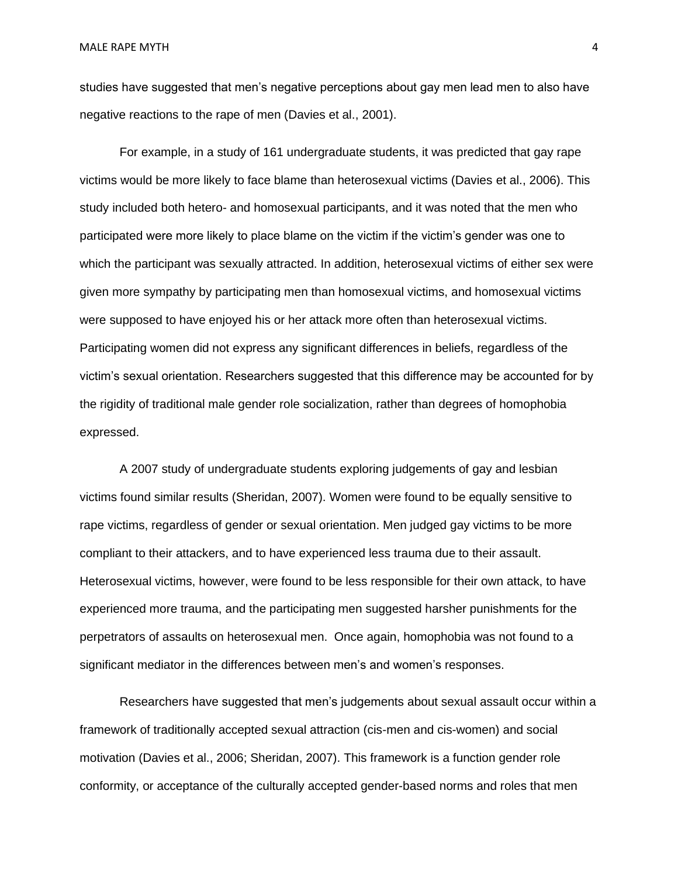studies have suggested that men's negative perceptions about gay men lead men to also have negative reactions to the rape of men (Davies et al., 2001).

For example, in a study of 161 undergraduate students, it was predicted that gay rape victims would be more likely to face blame than heterosexual victims (Davies et al., 2006). This study included both hetero- and homosexual participants, and it was noted that the men who participated were more likely to place blame on the victim if the victim's gender was one to which the participant was sexually attracted. In addition, heterosexual victims of either sex were given more sympathy by participating men than homosexual victims, and homosexual victims were supposed to have enjoyed his or her attack more often than heterosexual victims. Participating women did not express any significant differences in beliefs, regardless of the victim's sexual orientation. Researchers suggested that this difference may be accounted for by the rigidity of traditional male gender role socialization, rather than degrees of homophobia expressed.

A 2007 study of undergraduate students exploring judgements of gay and lesbian victims found similar results (Sheridan, 2007). Women were found to be equally sensitive to rape victims, regardless of gender or sexual orientation. Men judged gay victims to be more compliant to their attackers, and to have experienced less trauma due to their assault. Heterosexual victims, however, were found to be less responsible for their own attack, to have experienced more trauma, and the participating men suggested harsher punishments for the perpetrators of assaults on heterosexual men. Once again, homophobia was not found to a significant mediator in the differences between men's and women's responses.

Researchers have suggested that men's judgements about sexual assault occur within a framework of traditionally accepted sexual attraction (cis-men and cis-women) and social motivation (Davies et al., 2006; Sheridan, 2007). This framework is a function gender role conformity, or acceptance of the culturally accepted gender-based norms and roles that men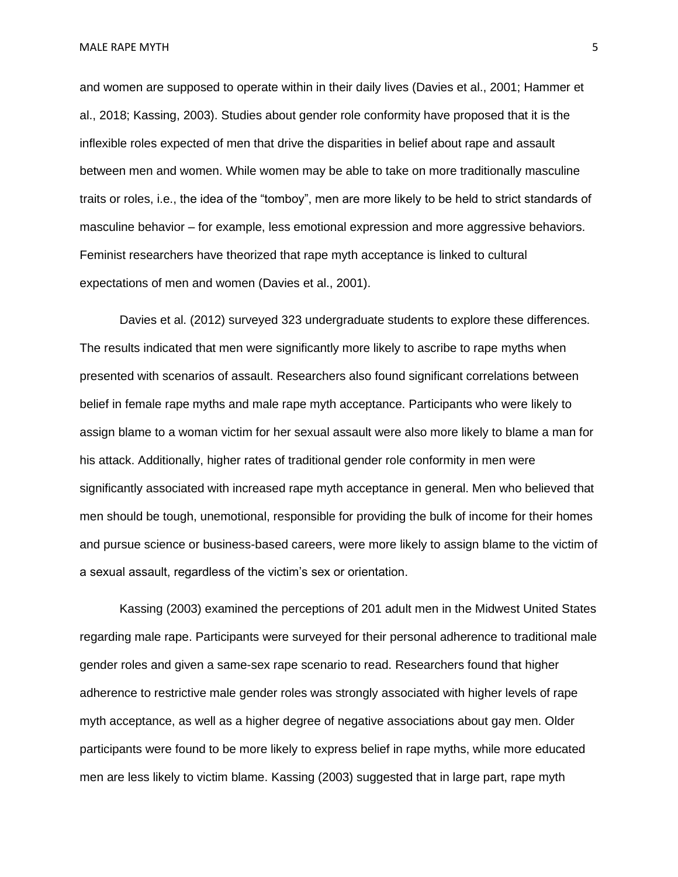and women are supposed to operate within in their daily lives (Davies et al., 2001; Hammer et al., 2018; Kassing, 2003). Studies about gender role conformity have proposed that it is the inflexible roles expected of men that drive the disparities in belief about rape and assault between men and women. While women may be able to take on more traditionally masculine traits or roles, i.e., the idea of the "tomboy", men are more likely to be held to strict standards of masculine behavior – for example, less emotional expression and more aggressive behaviors. Feminist researchers have theorized that rape myth acceptance is linked to cultural expectations of men and women (Davies et al., 2001).

Davies et al. (2012) surveyed 323 undergraduate students to explore these differences. The results indicated that men were significantly more likely to ascribe to rape myths when presented with scenarios of assault. Researchers also found significant correlations between belief in female rape myths and male rape myth acceptance. Participants who were likely to assign blame to a woman victim for her sexual assault were also more likely to blame a man for his attack. Additionally, higher rates of traditional gender role conformity in men were significantly associated with increased rape myth acceptance in general. Men who believed that men should be tough, unemotional, responsible for providing the bulk of income for their homes and pursue science or business-based careers, were more likely to assign blame to the victim of a sexual assault, regardless of the victim's sex or orientation.

Kassing (2003) examined the perceptions of 201 adult men in the Midwest United States regarding male rape. Participants were surveyed for their personal adherence to traditional male gender roles and given a same-sex rape scenario to read. Researchers found that higher adherence to restrictive male gender roles was strongly associated with higher levels of rape myth acceptance, as well as a higher degree of negative associations about gay men. Older participants were found to be more likely to express belief in rape myths, while more educated men are less likely to victim blame. Kassing (2003) suggested that in large part, rape myth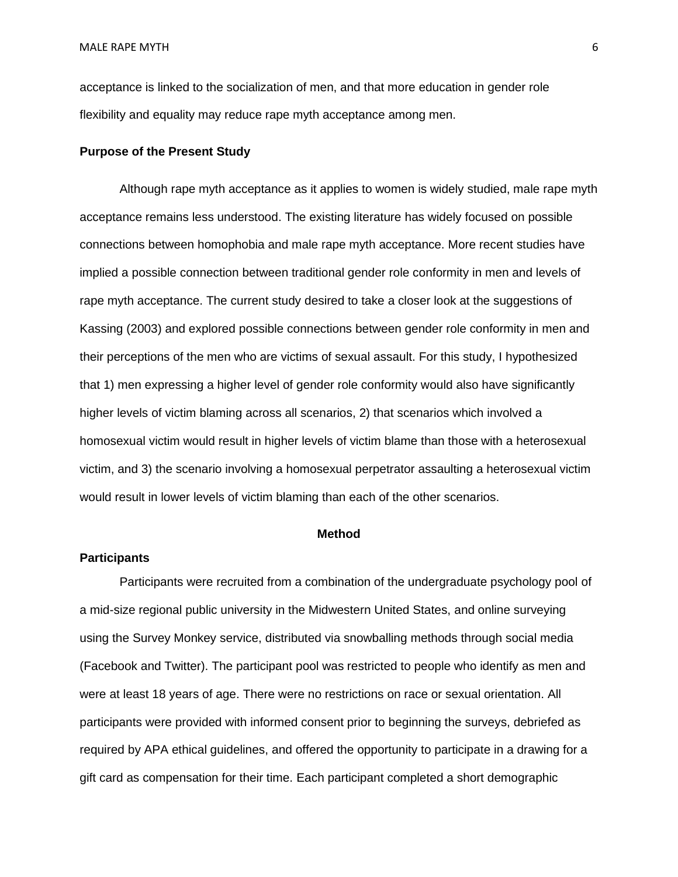acceptance is linked to the socialization of men, and that more education in gender role flexibility and equality may reduce rape myth acceptance among men.

#### **Purpose of the Present Study**

Although rape myth acceptance as it applies to women is widely studied, male rape myth acceptance remains less understood. The existing literature has widely focused on possible connections between homophobia and male rape myth acceptance. More recent studies have implied a possible connection between traditional gender role conformity in men and levels of rape myth acceptance. The current study desired to take a closer look at the suggestions of Kassing (2003) and explored possible connections between gender role conformity in men and their perceptions of the men who are victims of sexual assault. For this study, I hypothesized that 1) men expressing a higher level of gender role conformity would also have significantly higher levels of victim blaming across all scenarios, 2) that scenarios which involved a homosexual victim would result in higher levels of victim blame than those with a heterosexual victim, and 3) the scenario involving a homosexual perpetrator assaulting a heterosexual victim would result in lower levels of victim blaming than each of the other scenarios.

#### **Method**

#### **Participants**

Participants were recruited from a combination of the undergraduate psychology pool of a mid-size regional public university in the Midwestern United States, and online surveying using the Survey Monkey service, distributed via snowballing methods through social media (Facebook and Twitter). The participant pool was restricted to people who identify as men and were at least 18 years of age. There were no restrictions on race or sexual orientation. All participants were provided with informed consent prior to beginning the surveys, debriefed as required by APA ethical guidelines, and offered the opportunity to participate in a drawing for a gift card as compensation for their time. Each participant completed a short demographic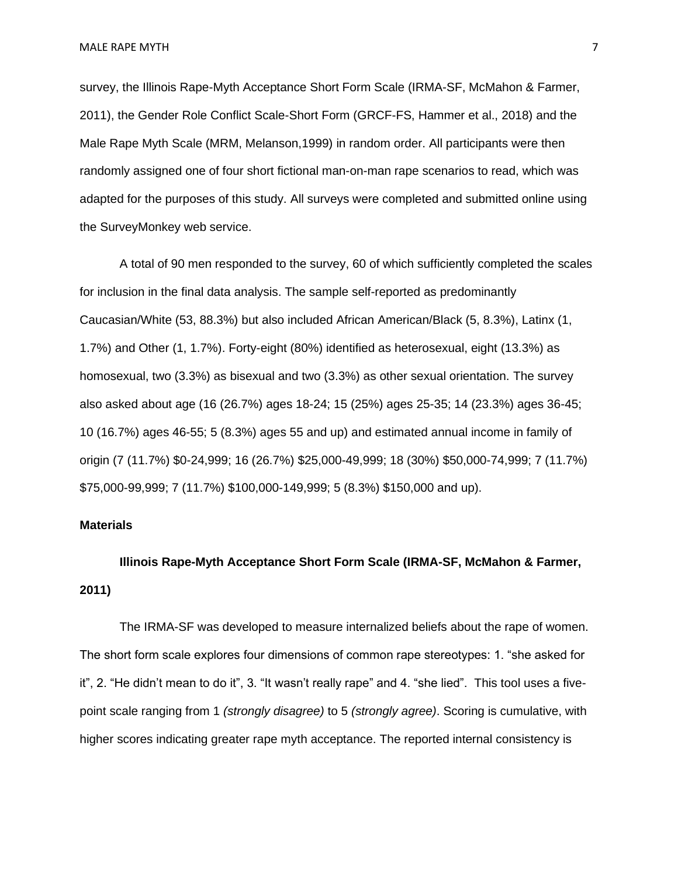MALE RAPE MYTH 7 NOTES AND THE SERVICE OF THE SERVICE OF THE SERVICE OF THE SERVICE OF THE SERVICE OF THE SERVICE OF THE SERVICE OF THE SERVICE OF THE SERVICE OF THE SERVICE OF THE SERVICE OF THE SERVICE OF THE SERVICE OF

survey, the Illinois Rape-Myth Acceptance Short Form Scale (IRMA-SF, McMahon & Farmer, 2011), the Gender Role Conflict Scale-Short Form (GRCF-FS, Hammer et al., 2018) and the Male Rape Myth Scale (MRM, Melanson,1999) in random order. All participants were then randomly assigned one of four short fictional man-on-man rape scenarios to read, which was adapted for the purposes of this study. All surveys were completed and submitted online using the SurveyMonkey web service.

A total of 90 men responded to the survey, 60 of which sufficiently completed the scales for inclusion in the final data analysis. The sample self-reported as predominantly Caucasian/White (53, 88.3%) but also included African American/Black (5, 8.3%), Latinx (1, 1.7%) and Other (1, 1.7%). Forty-eight (80%) identified as heterosexual, eight (13.3%) as homosexual, two (3.3%) as bisexual and two (3.3%) as other sexual orientation. The survey also asked about age (16 (26.7%) ages 18-24; 15 (25%) ages 25-35; 14 (23.3%) ages 36-45; 10 (16.7%) ages 46-55; 5 (8.3%) ages 55 and up) and estimated annual income in family of origin (7 (11.7%) \$0-24,999; 16 (26.7%) \$25,000-49,999; 18 (30%) \$50,000-74,999; 7 (11.7%) \$75,000-99,999; 7 (11.7%) \$100,000-149,999; 5 (8.3%) \$150,000 and up).

#### **Materials**

**Illinois Rape-Myth Acceptance Short Form Scale (IRMA-SF, McMahon & Farmer, 2011)**

The IRMA-SF was developed to measure internalized beliefs about the rape of women. The short form scale explores four dimensions of common rape stereotypes: 1. "she asked for it", 2. "He didn't mean to do it", 3. "It wasn't really rape" and 4. "she lied". This tool uses a fivepoint scale ranging from 1 *(strongly disagree)* to 5 *(strongly agree)*. Scoring is cumulative, with higher scores indicating greater rape myth acceptance. The reported internal consistency is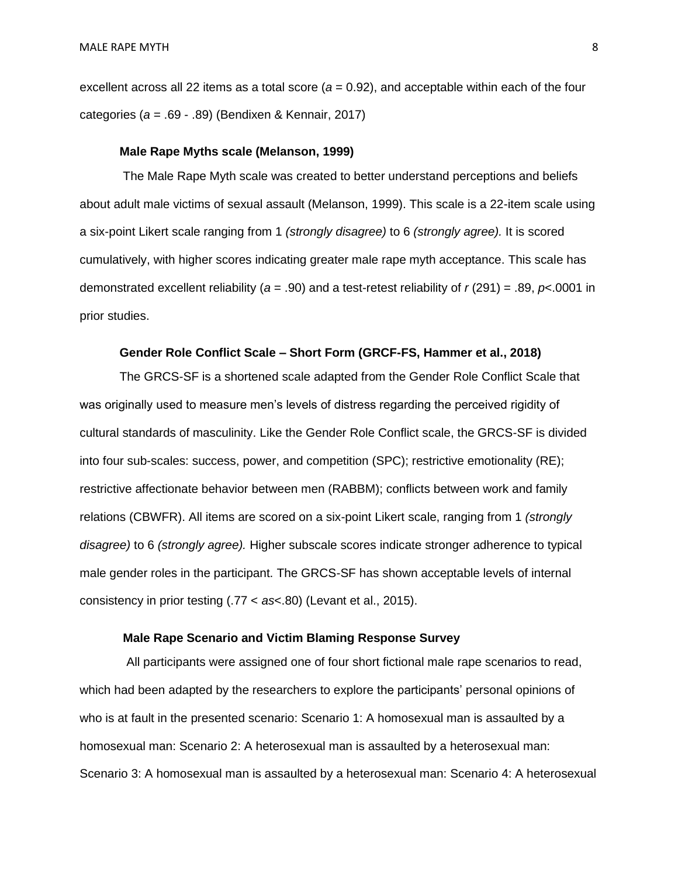excellent across all 22 items as a total score (*a* = 0.92), and acceptable within each of the four categories (*a* = .69 - .89) (Bendixen & Kennair, 2017)

#### **Male Rape Myths scale (Melanson, 1999)**

The Male Rape Myth scale was created to better understand perceptions and beliefs about adult male victims of sexual assault (Melanson, 1999). This scale is a 22-item scale using a six-point Likert scale ranging from 1 *(strongly disagree)* to 6 *(strongly agree).* It is scored cumulatively, with higher scores indicating greater male rape myth acceptance. This scale has demonstrated excellent reliability (*a* = .90) and a test-retest reliability of *r* (291) = .89, *p*<.0001 in prior studies.

#### **Gender Role Conflict Scale – Short Form (GRCF-FS, Hammer et al., 2018)**

The GRCS-SF is a shortened scale adapted from the Gender Role Conflict Scale that was originally used to measure men's levels of distress regarding the perceived rigidity of cultural standards of masculinity. Like the Gender Role Conflict scale, the GRCS-SF is divided into four sub-scales: success, power, and competition (SPC); restrictive emotionality (RE); restrictive affectionate behavior between men (RABBM); conflicts between work and family relations (CBWFR). All items are scored on a six-point Likert scale, ranging from 1 *(strongly disagree)* to 6 *(strongly agree).* Higher subscale scores indicate stronger adherence to typical male gender roles in the participant. The GRCS-SF has shown acceptable levels of internal consistency in prior testing (.77 < *as*<.80) (Levant et al., 2015).

#### **Male Rape Scenario and Victim Blaming Response Survey**

 All participants were assigned one of four short fictional male rape scenarios to read, which had been adapted by the researchers to explore the participants' personal opinions of who is at fault in the presented scenario: Scenario 1: A homosexual man is assaulted by a homosexual man: Scenario 2: A heterosexual man is assaulted by a heterosexual man: Scenario 3: A homosexual man is assaulted by a heterosexual man: Scenario 4: A heterosexual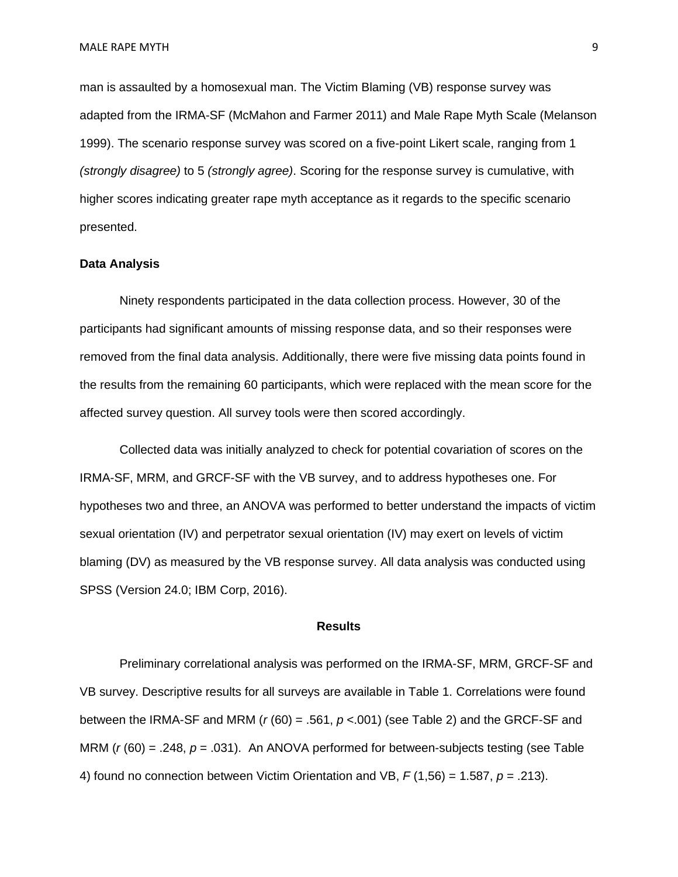man is assaulted by a homosexual man. The Victim Blaming (VB) response survey was adapted from the IRMA-SF (McMahon and Farmer 2011) and Male Rape Myth Scale (Melanson 1999). The scenario response survey was scored on a five-point Likert scale, ranging from 1 *(strongly disagree)* to 5 *(strongly agree)*. Scoring for the response survey is cumulative, with higher scores indicating greater rape myth acceptance as it regards to the specific scenario presented.

#### **Data Analysis**

Ninety respondents participated in the data collection process. However, 30 of the participants had significant amounts of missing response data, and so their responses were removed from the final data analysis. Additionally, there were five missing data points found in the results from the remaining 60 participants, which were replaced with the mean score for the affected survey question. All survey tools were then scored accordingly.

Collected data was initially analyzed to check for potential covariation of scores on the IRMA-SF, MRM, and GRCF-SF with the VB survey, and to address hypotheses one. For hypotheses two and three, an ANOVA was performed to better understand the impacts of victim sexual orientation (IV) and perpetrator sexual orientation (IV) may exert on levels of victim blaming (DV) as measured by the VB response survey. All data analysis was conducted using SPSS (Version 24.0; IBM Corp, 2016).

#### **Results**

Preliminary correlational analysis was performed on the IRMA-SF, MRM, GRCF-SF and VB survey. Descriptive results for all surveys are available in Table 1. Correlations were found between the IRMA-SF and MRM (*r* (60) = .561, *p* <.001) (see Table 2) and the GRCF-SF and MRM (*r* (60) = .248, *p* = .031). An ANOVA performed for between-subjects testing (see Table 4) found no connection between Victim Orientation and VB, *F* (1,56) = 1.587, *p* = .213).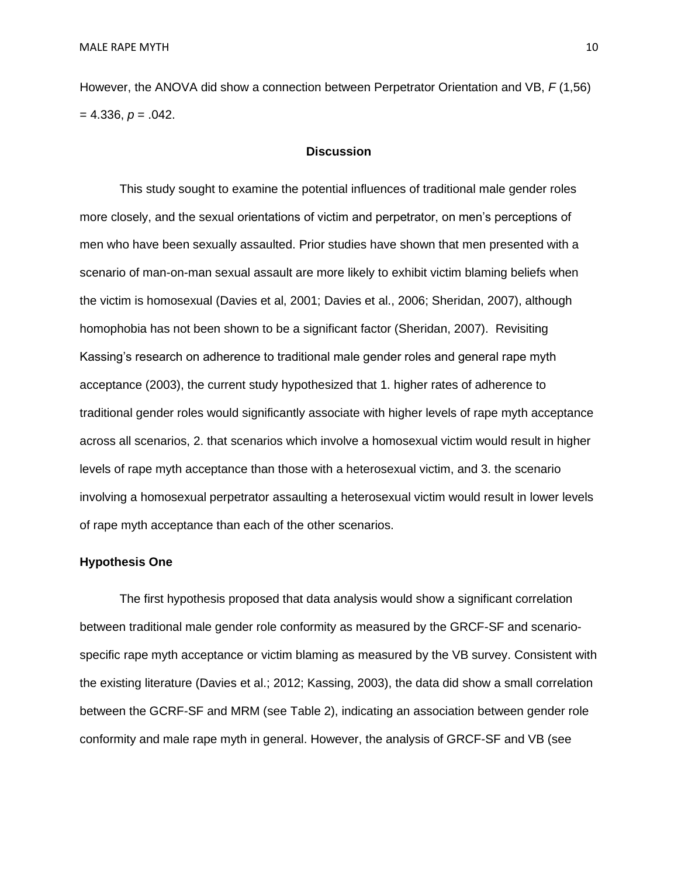However, the ANOVA did show a connection between Perpetrator Orientation and VB, *F* (1,56)  $= 4.336, p = .042.$ 

#### **Discussion**

This study sought to examine the potential influences of traditional male gender roles more closely, and the sexual orientations of victim and perpetrator, on men's perceptions of men who have been sexually assaulted. Prior studies have shown that men presented with a scenario of man-on-man sexual assault are more likely to exhibit victim blaming beliefs when the victim is homosexual (Davies et al, 2001; Davies et al., 2006; Sheridan, 2007), although homophobia has not been shown to be a significant factor (Sheridan, 2007). Revisiting Kassing's research on adherence to traditional male gender roles and general rape myth acceptance (2003), the current study hypothesized that 1. higher rates of adherence to traditional gender roles would significantly associate with higher levels of rape myth acceptance across all scenarios, 2. that scenarios which involve a homosexual victim would result in higher levels of rape myth acceptance than those with a heterosexual victim, and 3. the scenario involving a homosexual perpetrator assaulting a heterosexual victim would result in lower levels of rape myth acceptance than each of the other scenarios.

#### **Hypothesis One**

The first hypothesis proposed that data analysis would show a significant correlation between traditional male gender role conformity as measured by the GRCF-SF and scenariospecific rape myth acceptance or victim blaming as measured by the VB survey. Consistent with the existing literature (Davies et al.; 2012; Kassing, 2003), the data did show a small correlation between the GCRF-SF and MRM (see Table 2), indicating an association between gender role conformity and male rape myth in general. However, the analysis of GRCF-SF and VB (see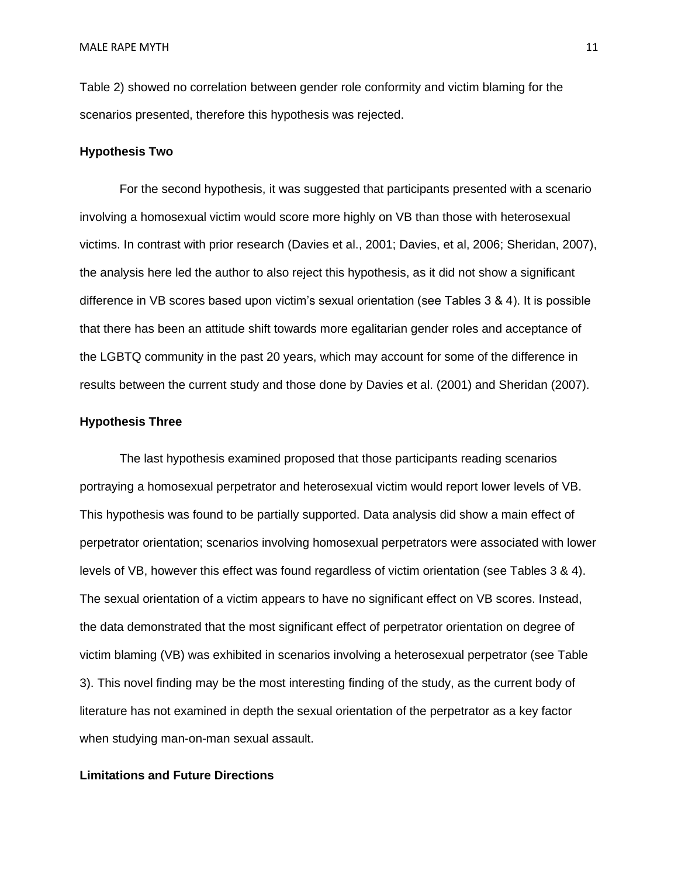Table 2) showed no correlation between gender role conformity and victim blaming for the scenarios presented, therefore this hypothesis was rejected.

#### **Hypothesis Two**

For the second hypothesis, it was suggested that participants presented with a scenario involving a homosexual victim would score more highly on VB than those with heterosexual victims. In contrast with prior research (Davies et al., 2001; Davies, et al, 2006; Sheridan, 2007), the analysis here led the author to also reject this hypothesis, as it did not show a significant difference in VB scores based upon victim's sexual orientation (see Tables 3 & 4). It is possible that there has been an attitude shift towards more egalitarian gender roles and acceptance of the LGBTQ community in the past 20 years, which may account for some of the difference in results between the current study and those done by Davies et al. (2001) and Sheridan (2007).

#### **Hypothesis Three**

The last hypothesis examined proposed that those participants reading scenarios portraying a homosexual perpetrator and heterosexual victim would report lower levels of VB. This hypothesis was found to be partially supported. Data analysis did show a main effect of perpetrator orientation; scenarios involving homosexual perpetrators were associated with lower levels of VB, however this effect was found regardless of victim orientation (see Tables 3 & 4). The sexual orientation of a victim appears to have no significant effect on VB scores. Instead, the data demonstrated that the most significant effect of perpetrator orientation on degree of victim blaming (VB) was exhibited in scenarios involving a heterosexual perpetrator (see Table 3). This novel finding may be the most interesting finding of the study, as the current body of literature has not examined in depth the sexual orientation of the perpetrator as a key factor when studying man-on-man sexual assault.

#### **Limitations and Future Directions**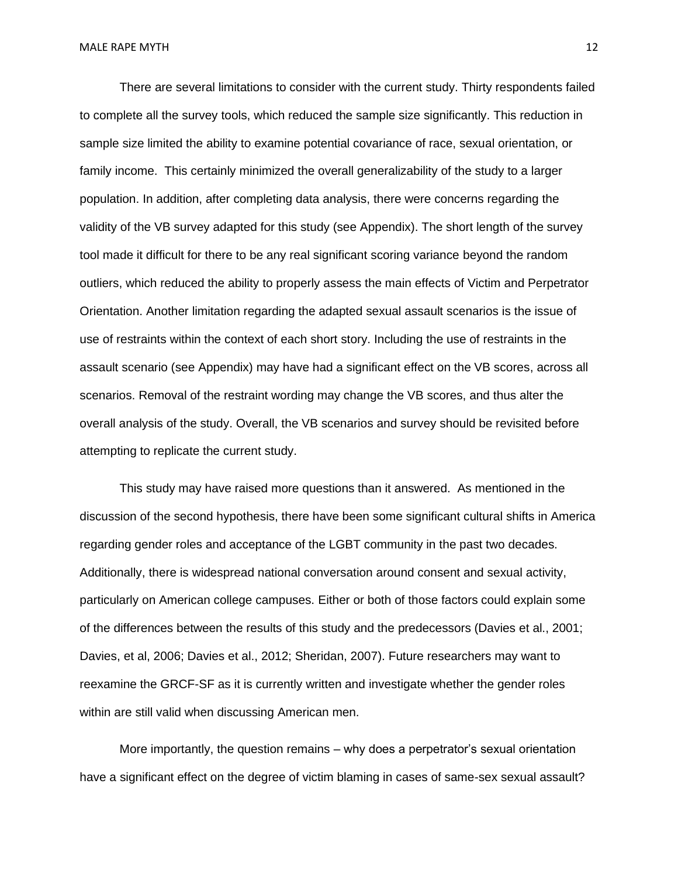There are several limitations to consider with the current study. Thirty respondents failed to complete all the survey tools, which reduced the sample size significantly. This reduction in sample size limited the ability to examine potential covariance of race, sexual orientation, or family income. This certainly minimized the overall generalizability of the study to a larger population. In addition, after completing data analysis, there were concerns regarding the validity of the VB survey adapted for this study (see Appendix). The short length of the survey tool made it difficult for there to be any real significant scoring variance beyond the random outliers, which reduced the ability to properly assess the main effects of Victim and Perpetrator Orientation. Another limitation regarding the adapted sexual assault scenarios is the issue of use of restraints within the context of each short story. Including the use of restraints in the assault scenario (see Appendix) may have had a significant effect on the VB scores, across all scenarios. Removal of the restraint wording may change the VB scores, and thus alter the overall analysis of the study. Overall, the VB scenarios and survey should be revisited before attempting to replicate the current study.

This study may have raised more questions than it answered. As mentioned in the discussion of the second hypothesis, there have been some significant cultural shifts in America regarding gender roles and acceptance of the LGBT community in the past two decades. Additionally, there is widespread national conversation around consent and sexual activity, particularly on American college campuses. Either or both of those factors could explain some of the differences between the results of this study and the predecessors (Davies et al., 2001; Davies, et al, 2006; Davies et al., 2012; Sheridan, 2007). Future researchers may want to reexamine the GRCF-SF as it is currently written and investigate whether the gender roles within are still valid when discussing American men.

More importantly, the question remains – why does a perpetrator's sexual orientation have a significant effect on the degree of victim blaming in cases of same-sex sexual assault?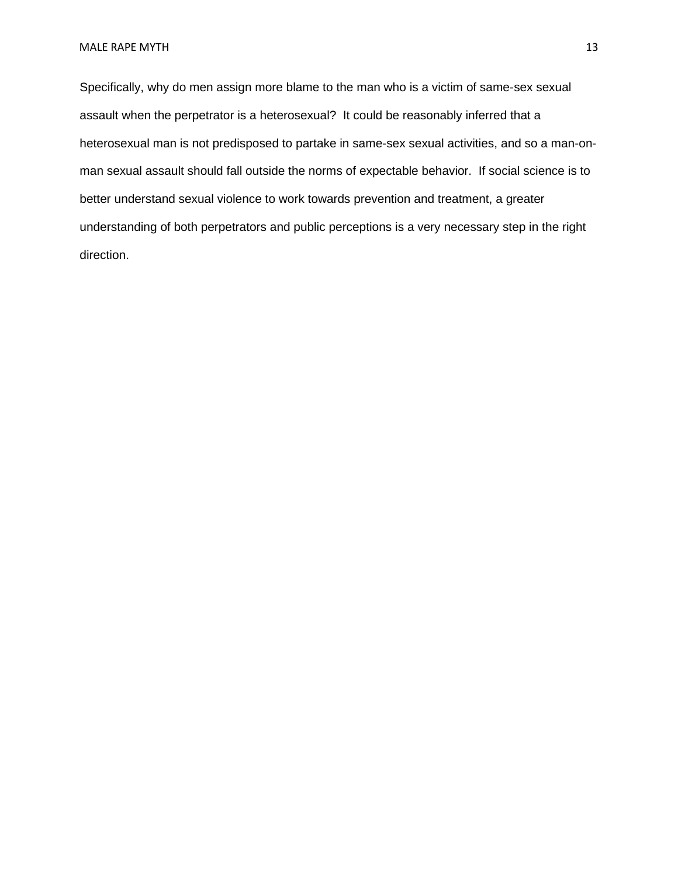Specifically, why do men assign more blame to the man who is a victim of same-sex sexual assault when the perpetrator is a heterosexual? It could be reasonably inferred that a heterosexual man is not predisposed to partake in same-sex sexual activities, and so a man-onman sexual assault should fall outside the norms of expectable behavior. If social science is to better understand sexual violence to work towards prevention and treatment, a greater understanding of both perpetrators and public perceptions is a very necessary step in the right direction.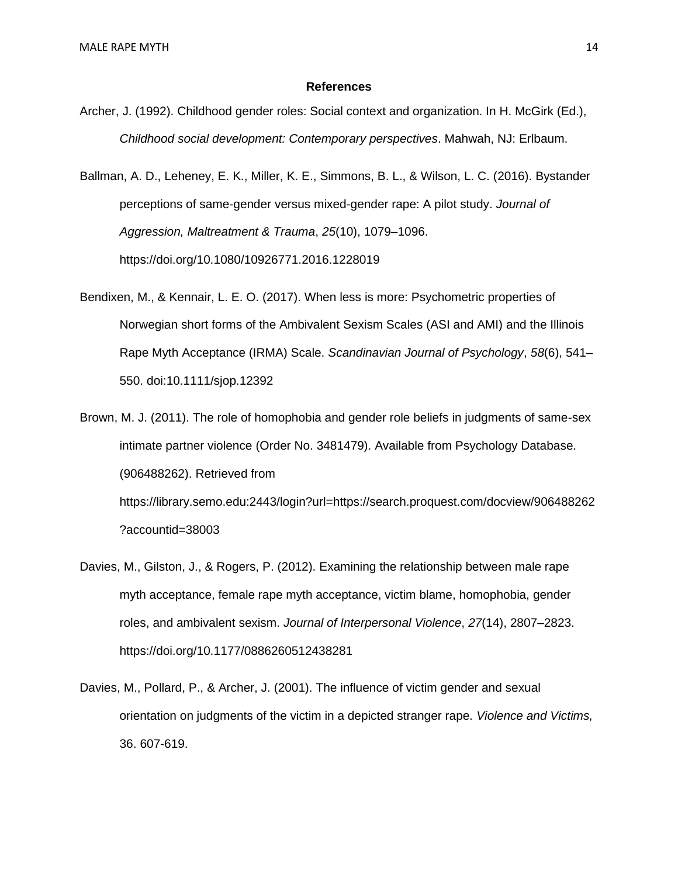#### **References**

Archer, J. (1992). Childhood gender roles: Social context and organization. In H. McGirk (Ed.), *Childhood social development: Contemporary perspectives*. Mahwah, NJ: Erlbaum.

Ballman, A. D., Leheney, E. K., Miller, K. E., Simmons, B. L., & Wilson, L. C. (2016). Bystander perceptions of same-gender versus mixed-gender rape: A pilot study. *Journal of Aggression, Maltreatment & Trauma*, *25*(10), 1079–1096. <https://doi.org/10.1080/10926771.2016.1228019>

Bendixen, M., & Kennair, L. E. O. (2017). When less is more: Psychometric properties of Norwegian short forms of the Ambivalent Sexism Scales (ASI and AMI) and the Illinois Rape Myth Acceptance (IRMA) Scale. *Scandinavian Journal of Psychology*, *58*(6), 541– 550. doi:10.1111/sjop.12392

Brown, M. J. (2011). The role of homophobia and gender role beliefs in judgments of same-sex intimate partner violence (Order No. 3481479). Available from Psychology Database. (906488262). Retrieved from [https://library.semo.edu:2443/login?url=https://search.proquest.com/docview/906488262](https://library.semo.edu:2443/login?url=https://search.proquest.com/docview/906488262?accountid=38003) [?accountid=38003](https://library.semo.edu:2443/login?url=https://search.proquest.com/docview/906488262?accountid=38003)

- Davies, M., Gilston, J., & Rogers, P. (2012). Examining the relationship between male rape myth acceptance, female rape myth acceptance, victim blame, homophobia, gender roles, and ambivalent sexism. *Journal of Interpersonal Violence*, *27*(14), 2807–2823. <https://doi.org/10.1177/0886260512438281>
- Davies, M., Pollard, P., & Archer, J. (2001). The influence of victim gender and sexual orientation on judgments of the victim in a depicted stranger rape. *Violence and Victims,* 36. 607-619.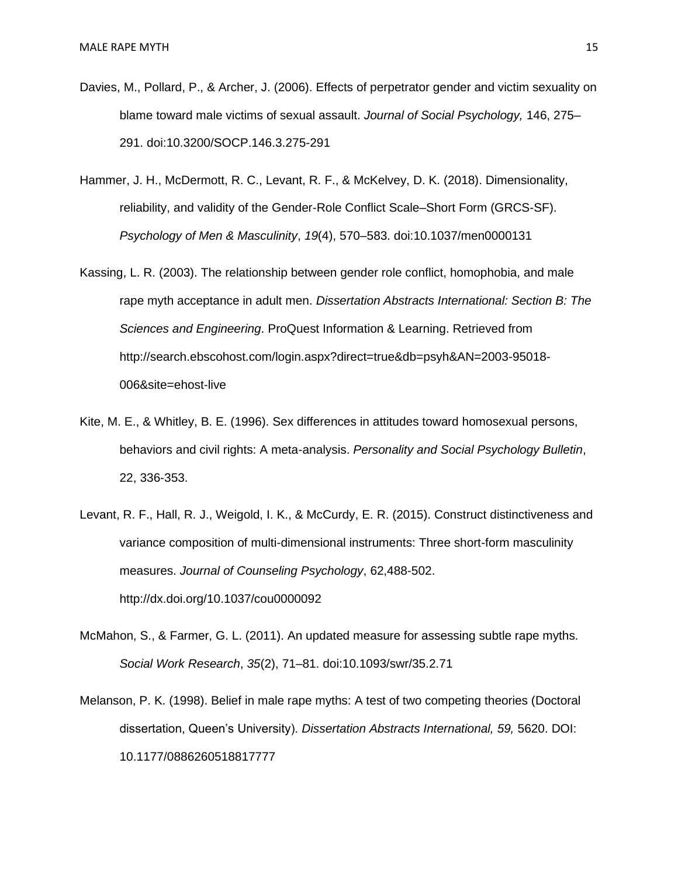- Davies, M., Pollard, P., & Archer, J. (2006). Effects of perpetrator gender and victim sexuality on blame toward male victims of sexual assault. *Journal of Social Psychology,* 146, 275– 291. doi:10.3200/SOCP.146.3.275-291
- Hammer, J. H., McDermott, R. C., Levant, R. F., & McKelvey, D. K. (2018). Dimensionality, reliability, and validity of the Gender-Role Conflict Scale–Short Form (GRCS-SF). *Psychology of Men & Masculinity*, *19*(4), 570–583. [doi:10.1037/men0000131](https://doi.org/10.1037/men0000131)
- Kassing, L. R. (2003). The relationship between gender role conflict, homophobia, and male rape myth acceptance in adult men. *Dissertation Abstracts International: Section B: The Sciences and Engineering*. ProQuest Information & Learning. Retrieved from [http://search.ebscohost.com/login.aspx?direct=true&db=psyh&AN=2003-95018-](http://search.ebscohost.com/login.aspx?direct=true&db=psyh&AN=2003-95018-006&site=ehost-live) [006&site=ehost-live](http://search.ebscohost.com/login.aspx?direct=true&db=psyh&AN=2003-95018-006&site=ehost-live)
- Kite, M. E., & Whitley, B. E. (1996). Sex differences in attitudes toward homosexual persons, behaviors and civil rights: A meta-analysis. *Personality and Social Psychology Bulletin*, 22, 336-353.
- Levant, R. F., Hall, R. J., Weigold, I. K., & McCurdy, E. R. (2015). Construct distinctiveness and variance composition of multi-dimensional instruments: Three short-form masculinity measures. *Journal of Counseling Psychology*, 62,488-502. <http://dx.doi.org/10.1037/cou0000092>
- McMahon, S., & Farmer, G. L. (2011). An updated measure for assessing subtle rape myths. *Social Work Research*, *35*(2), 71–81. [doi:10.1093/swr/35.2.71](https://doi.org/10.1093/swr/35.2.71)
- Melanson, P. K. (1998). Belief in male rape myths: A test of two competing theories (Doctoral dissertation, Queen's University). *Dissertation Abstracts International, 59,* 5620. DOI: 10.1177/0886260518817777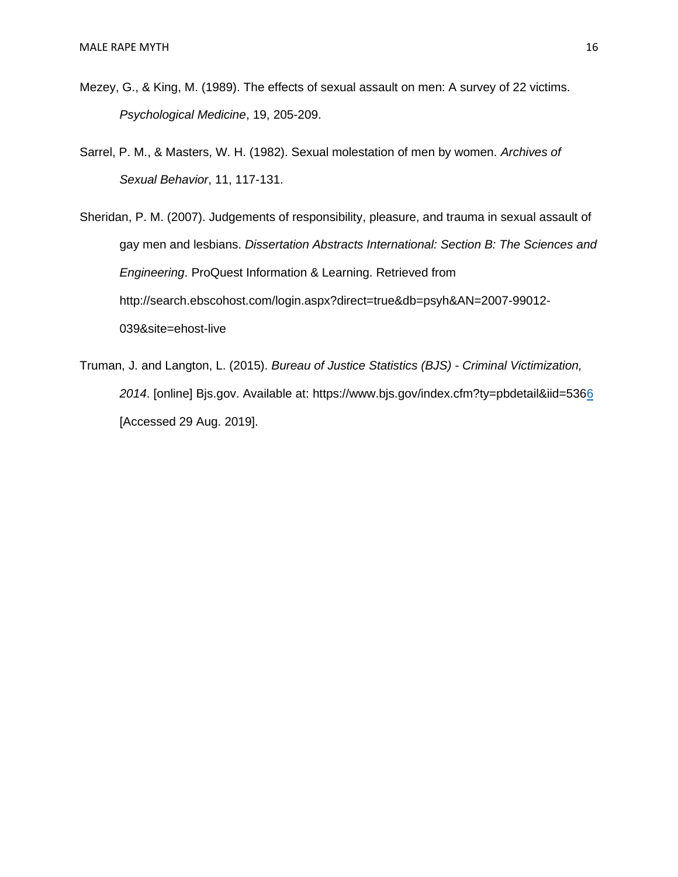- Mezey, G., & King, M. (1989). The effects of sexual assault on men: A survey of 22 victims. *Psychological Medicine*, 19, 205-209.
- Sarrel, P. M., & Masters, W. H. (1982). Sexual molestation of men by women. *Archives of Sexual Behavior*, 11, 117-131.

Sheridan, P. M. (2007). Judgements of responsibility, pleasure, and trauma in sexual assault of gay men and lesbians. *Dissertation Abstracts International: Section B: The Sciences and Engineering*. ProQuest Information & Learning. Retrieved from [http://search.ebscohost.com/login.aspx?direct=true&db=psyh&AN=2007-99012-](http://search.ebscohost.com/login.aspx?direct=true&db=psyh&AN=2007-99012-039&site=ehost-live) [039&site=ehost-live](http://search.ebscohost.com/login.aspx?direct=true&db=psyh&AN=2007-99012-039&site=ehost-live)

Truman, J. and Langton, L. (2015). *Bureau of Justice Statistics (BJS) - Criminal Victimization, 2014*. [online] Bjs.gov. Available at:<https://www.bjs.gov/index.cfm?ty=pbdetail&iid=5366> [Accessed 29 Aug. 2019].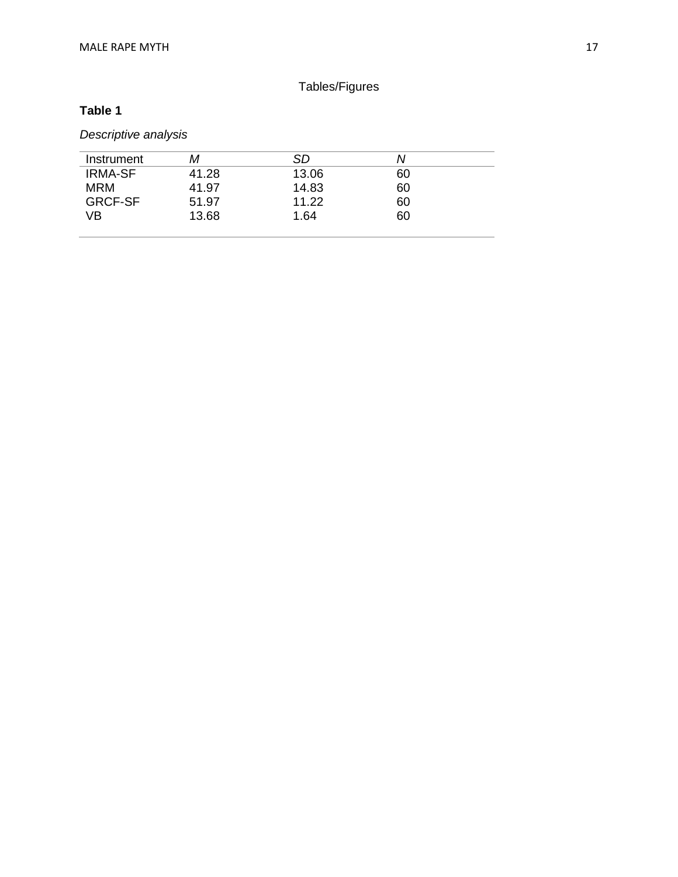### Tables/Figures

#### **Table 1**

### *Descriptive analysis*

| Instrument     | М     | SD    | N  |
|----------------|-------|-------|----|
| <b>IRMA-SF</b> | 41.28 | 13.06 | 60 |
| <b>MRM</b>     | 41.97 | 14.83 | 60 |
| <b>GRCF-SF</b> | 51.97 | 11.22 | 60 |
| VB             | 13.68 | 1.64  | 60 |
|                |       |       |    |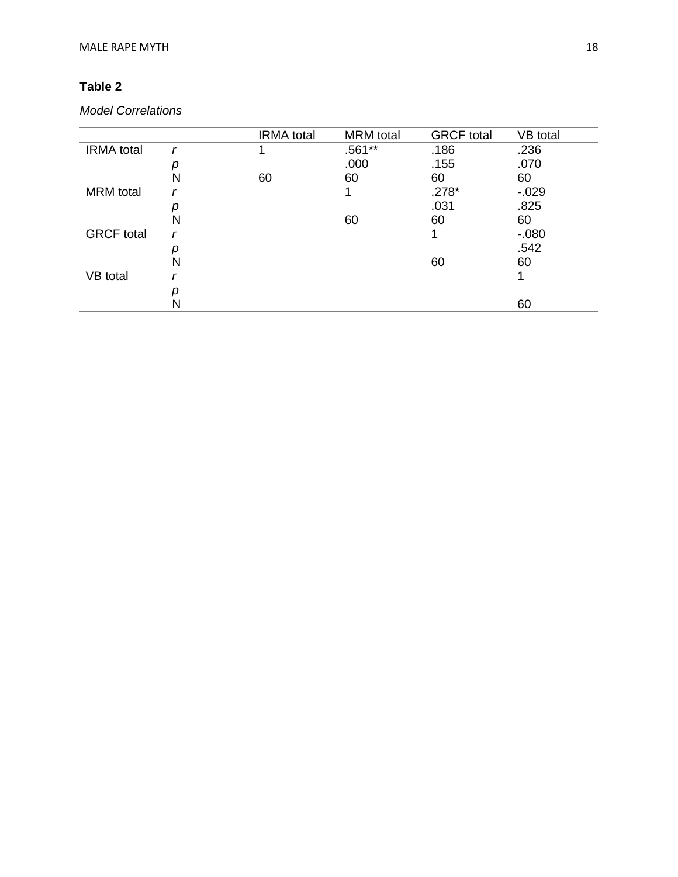### **Table 2**

### *Model Correlations*

|                   |   | <b>IRMA</b> total | <b>MRM</b> total | <b>GRCF</b> total | VB total |
|-------------------|---|-------------------|------------------|-------------------|----------|
| <b>IRMA</b> total |   |                   | .561**           | .186              | .236     |
|                   |   |                   | .000             | .155              | .070     |
|                   | N | 60                | 60               | 60                | 60       |
| <b>MRM</b> total  |   |                   | 1                | $.278*$           | $-0.029$ |
|                   |   |                   |                  | .031              | .825     |
|                   | N |                   | 60               | 60                | 60       |
| <b>GRCF</b> total |   |                   |                  |                   | $-080$   |
|                   |   |                   |                  |                   | .542     |
|                   | N |                   |                  | 60                | 60       |
| VB total          |   |                   |                  |                   |          |
|                   |   |                   |                  |                   |          |
|                   |   |                   |                  |                   | 60       |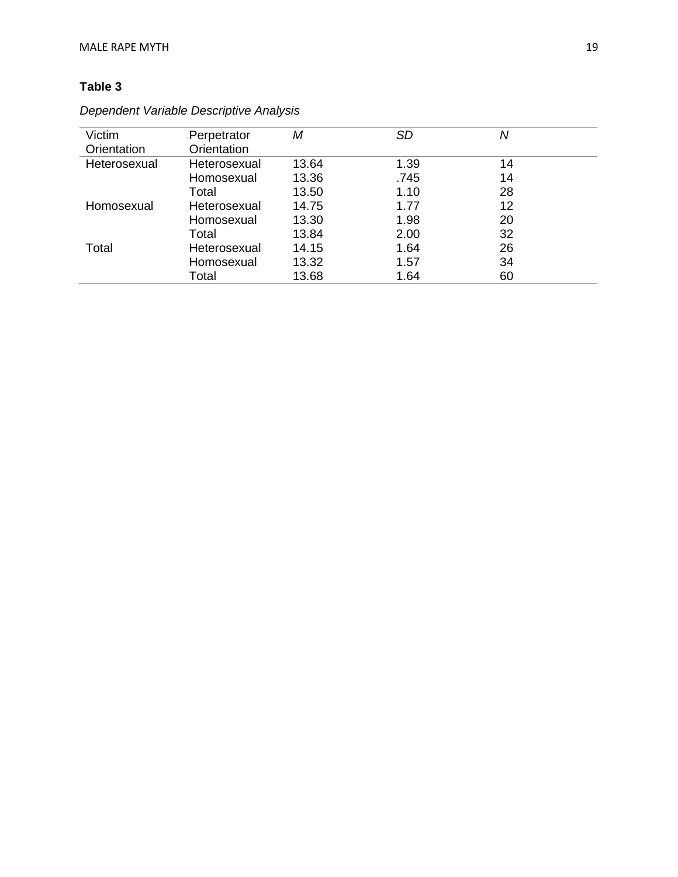### **Table 3**

| Victim       | Perpetrator  | Μ     | <b>SD</b> | Ν  |  |
|--------------|--------------|-------|-----------|----|--|
| Orientation  | Orientation  |       |           |    |  |
| Heterosexual | Heterosexual | 13.64 | 1.39      | 14 |  |
|              | Homosexual   | 13.36 | .745      | 14 |  |
|              | Total        | 13.50 | 1.10      | 28 |  |
| Homosexual   | Heterosexual | 14.75 | 1.77      | 12 |  |
|              | Homosexual   | 13.30 | 1.98      | 20 |  |
|              | Total        | 13.84 | 2.00      | 32 |  |
| Total        | Heterosexual | 14.15 | 1.64      | 26 |  |
|              | Homosexual   | 13.32 | 1.57      | 34 |  |
|              | Total        | 13.68 | 1.64      | 60 |  |

*Dependent Variable Descriptive Analysis*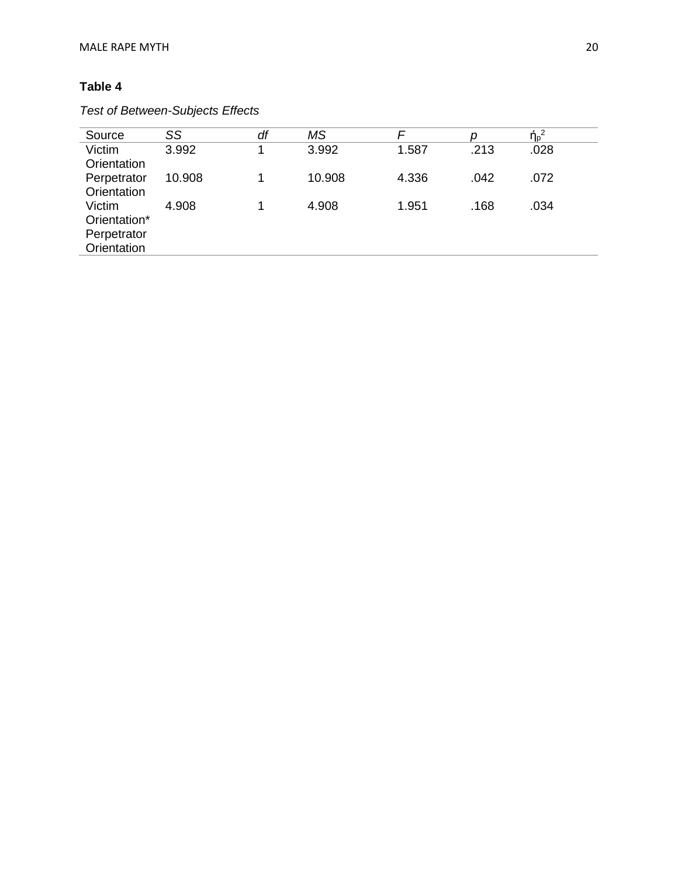### **Table 4**

### *Test of Between-Subjects Effects*

| Source                                               | SS     | df | <b>MS</b> | F     |      | $\eta_p^2$ |
|------------------------------------------------------|--------|----|-----------|-------|------|------------|
| Victim<br>Orientation                                | 3.992  |    | 3.992     | 1.587 | .213 | .028       |
| Perpetrator<br>Orientation                           | 10.908 |    | 10.908    | 4.336 | .042 | .072       |
| Victim<br>Orientation*<br>Perpetrator<br>Orientation | 4.908  |    | 4.908     | 1.951 | .168 | .034       |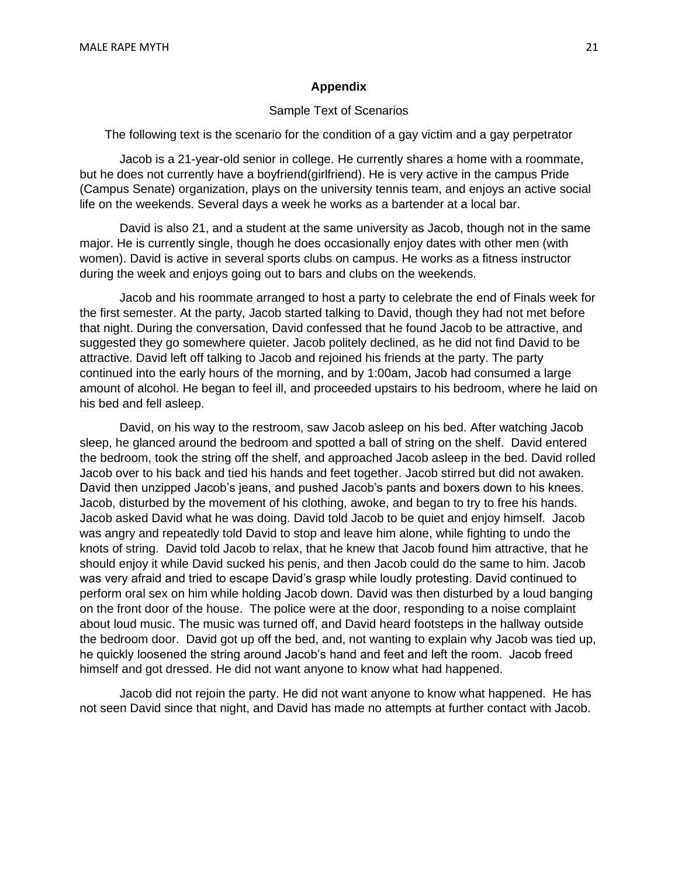#### **Appendix**

#### Sample Text of Scenarios

The following text is the scenario for the condition of a gay victim and a gay perpetrator

Jacob is a 21-year-old senior in college. He currently shares a home with a roommate, but he does not currently have a boyfriend(girlfriend). He is very active in the campus Pride (Campus Senate) organization, plays on the university tennis team, and enjoys an active social life on the weekends. Several days a week he works as a bartender at a local bar.

David is also 21, and a student at the same university as Jacob, though not in the same major. He is currently single, though he does occasionally enjoy dates with other men (with women). David is active in several sports clubs on campus. He works as a fitness instructor during the week and enjoys going out to bars and clubs on the weekends.

Jacob and his roommate arranged to host a party to celebrate the end of Finals week for the first semester. At the party, Jacob started talking to David, though they had not met before that night. During the conversation, David confessed that he found Jacob to be attractive, and suggested they go somewhere quieter. Jacob politely declined, as he did not find David to be attractive. David left off talking to Jacob and rejoined his friends at the party. The party continued into the early hours of the morning, and by 1:00am, Jacob had consumed a large amount of alcohol. He began to feel ill, and proceeded upstairs to his bedroom, where he laid on his bed and fell asleep.

David, on his way to the restroom, saw Jacob asleep on his bed. After watching Jacob sleep, he glanced around the bedroom and spotted a ball of string on the shelf. David entered the bedroom, took the string off the shelf, and approached Jacob asleep in the bed. David rolled Jacob over to his back and tied his hands and feet together. Jacob stirred but did not awaken. David then unzipped Jacob's jeans, and pushed Jacob's pants and boxers down to his knees. Jacob, disturbed by the movement of his clothing, awoke, and began to try to free his hands. Jacob asked David what he was doing. David told Jacob to be quiet and enjoy himself. Jacob was angry and repeatedly told David to stop and leave him alone, while fighting to undo the knots of string. David told Jacob to relax, that he knew that Jacob found him attractive, that he should enjoy it while David sucked his penis, and then Jacob could do the same to him. Jacob was very afraid and tried to escape David's grasp while loudly protesting. David continued to perform oral sex on him while holding Jacob down. David was then disturbed by a loud banging on the front door of the house. The police were at the door, responding to a noise complaint about loud music. The music was turned off, and David heard footsteps in the hallway outside the bedroom door. David got up off the bed, and, not wanting to explain why Jacob was tied up, he quickly loosened the string around Jacob's hand and feet and left the room. Jacob freed himself and got dressed. He did not want anyone to know what had happened.

Jacob did not rejoin the party. He did not want anyone to know what happened. He has not seen David since that night, and David has made no attempts at further contact with Jacob.